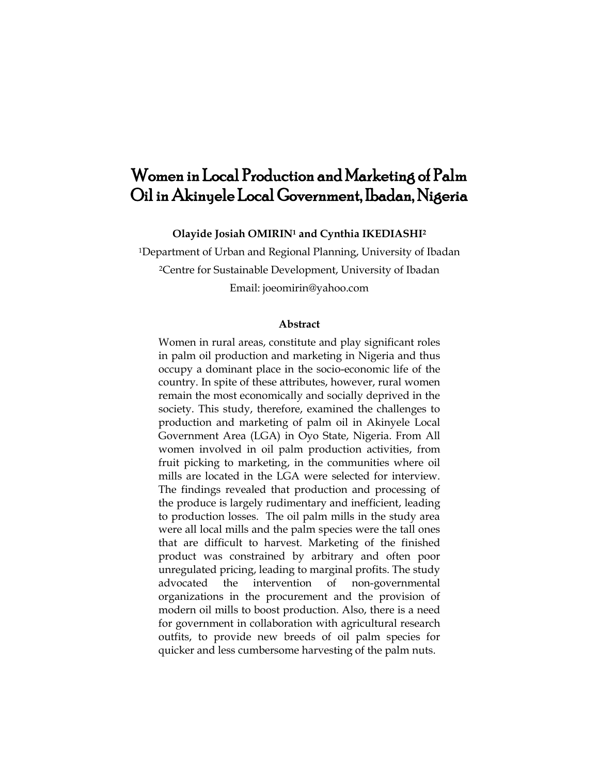# Women in Local Production and Marketing of Palm Oil in Akinyele Local Government, Ibadan, Nigeria

**Olayide Josiah OMIRIN<sup>1</sup> and Cynthia IKEDIASHI<sup>2</sup>**

<sup>1</sup>Department of Urban and Regional Planning, University of Ibadan <sup>2</sup>Centre for Sustainable Development, University of Ibadan Email: joeomirin@yahoo.com

#### **Abstract**

Women in rural areas, constitute and play significant roles in palm oil production and marketing in Nigeria and thus occupy a dominant place in the socio-economic life of the country. In spite of these attributes, however, rural women remain the most economically and socially deprived in the society. This study, therefore, examined the challenges to production and marketing of palm oil in Akinyele Local Government Area (LGA) in Oyo State, Nigeria. From All women involved in oil palm production activities, from fruit picking to marketing, in the communities where oil mills are located in the LGA were selected for interview. The findings revealed that production and processing of the produce is largely rudimentary and inefficient, leading to production losses. The oil palm mills in the study area were all local mills and the palm species were the tall ones that are difficult to harvest. Marketing of the finished product was constrained by arbitrary and often poor unregulated pricing, leading to marginal profits. The study advocated the intervention of non-governmental organizations in the procurement and the provision of modern oil mills to boost production. Also, there is a need for government in collaboration with agricultural research outfits, to provide new breeds of oil palm species for quicker and less cumbersome harvesting of the palm nuts.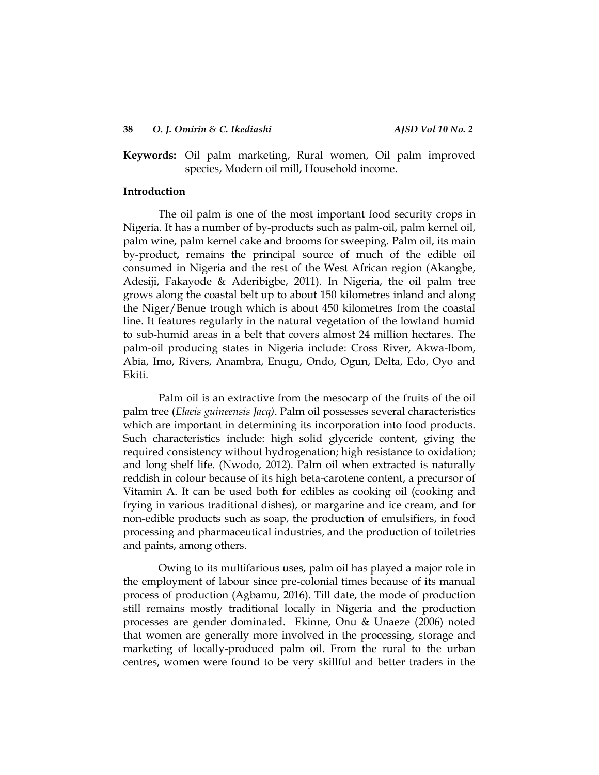# **Keywords:** Oil palm marketing, Rural women, Oil palm improved species, Modern oil mill, Household income.

## **Introduction**

The oil palm is one of the most important food security crops in Nigeria. It has a number of by-products such as palm-oil, palm kernel oil, palm wine, palm kernel cake and brooms for sweeping. Palm oil, its main by-product**,** remains the principal source of much of the edible oil consumed in Nigeria and the rest of the West African region (Akangbe, Adesiji, Fakayode & Aderibigbe, 2011). In Nigeria, the oil palm tree grows along the coastal belt up to about 150 kilometres inland and along the Niger/Benue trough which is about 450 kilometres from the coastal line. It features regularly in the natural vegetation of the lowland humid to sub-humid areas in a belt that covers almost 24 million hectares. The palm-oil producing states in Nigeria include: Cross River, Akwa-Ibom, Abia, Imo, Rivers, Anambra, Enugu, Ondo, Ogun, Delta, Edo, Oyo and Ekiti.

Palm oil is an extractive from the mesocarp of the fruits of the oil palm tree (*Elaeis guineensis Jacq)*. Palm oil possesses several characteristics which are important in determining its incorporation into food products. Such characteristics include: high solid glyceride content, giving the required consistency without hydrogenation; high resistance to oxidation; and long shelf life. (Nwodo, 2012). Palm oil when extracted is naturally reddish in colour because of its high beta-carotene content, a precursor of Vitamin A. It can be used both for edibles as cooking oil (cooking and frying in various traditional dishes), or margarine and ice cream, and for non-edible products such as soap, the production of emulsifiers, in food processing and pharmaceutical industries, and the production of toiletries and paints, among others.

Owing to its multifarious uses, palm oil has played a major role in the employment of labour since pre-colonial times because of its manual process of production (Agbamu, 2016). Till date, the mode of production still remains mostly traditional locally in Nigeria and the production processes are gender dominated. Ekinne, Onu & Unaeze (2006) noted that women are generally more involved in the processing, storage and marketing of locally-produced palm oil. From the rural to the urban centres, women were found to be very skillful and better traders in the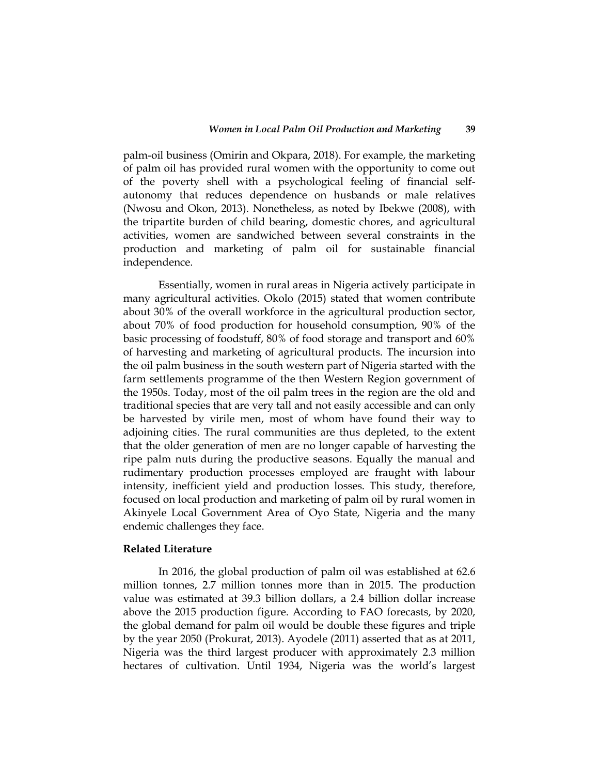palm-oil business (Omirin and Okpara, 2018). For example, the marketing of palm oil has provided rural women with the opportunity to come out of the poverty shell with a psychological feeling of financial selfautonomy that reduces dependence on husbands or male relatives (Nwosu and Okon, 2013). Nonetheless, as noted by Ibekwe (2008), with the tripartite burden of child bearing, domestic chores, and agricultural activities, women are sandwiched between several constraints in the production and marketing of palm oil for sustainable financial independence.

Essentially, women in rural areas in Nigeria actively participate in many agricultural activities. Okolo (2015) stated that women contribute about 30% of the overall workforce in the agricultural production sector, about 70% of food production for household consumption, 90% of the basic processing of foodstuff, 80% of food storage and transport and 60% of harvesting and marketing of agricultural products. The incursion into the oil palm business in the south western part of Nigeria started with the farm settlements programme of the then Western Region government of the 1950s. Today, most of the oil palm trees in the region are the old and traditional species that are very tall and not easily accessible and can only be harvested by virile men, most of whom have found their way to adjoining cities. The rural communities are thus depleted, to the extent that the older generation of men are no longer capable of harvesting the ripe palm nuts during the productive seasons. Equally the manual and rudimentary production processes employed are fraught with labour intensity, inefficient yield and production losses. This study, therefore, focused on local production and marketing of palm oil by rural women in Akinyele Local Government Area of Oyo State, Nigeria and the many endemic challenges they face.

#### **Related Literature**

In 2016, the global production of palm oil was established at 62.6 million tonnes, 2.7 million tonnes more than in 2015. The production value was estimated at 39.3 billion dollars, a 2.4 billion dollar increase above the 2015 production figure. According to FAO forecasts, by 2020, the global demand for palm oil would be double these figures and triple by the year 2050 (Prokurat, 2013). Ayodele (2011) asserted that as at 2011, Nigeria was the third largest producer with approximately 2.3 million hectares of cultivation. Until 1934, Nigeria was the world's largest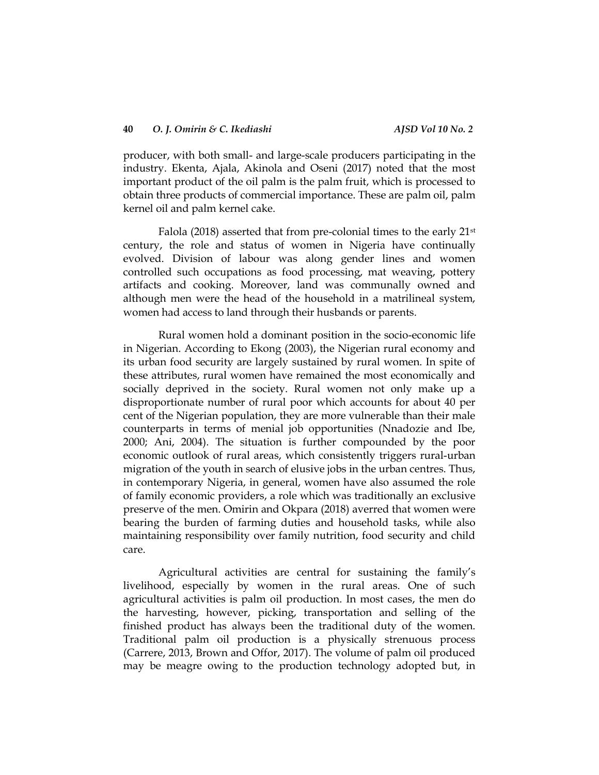producer, with both small- and large-scale producers participating in the industry. Ekenta, Ajala, Akinola and Oseni (2017) noted that the most important product of the oil palm is the palm fruit, which is processed to obtain three products of commercial importance. These are palm oil, palm kernel oil and palm kernel cake.

Falola (2018) asserted that from pre-colonial times to the early 21st century, the role and status of women in Nigeria have continually evolved. Division of labour was along gender lines and women controlled such occupations as food processing, mat weaving, pottery artifacts and cooking. Moreover, land was communally owned and although men were the head of the household in a matrilineal system, women had access to land through their husbands or parents.

Rural women hold a dominant position in the socio-economic life in Nigerian. According to Ekong (2003), the Nigerian rural economy and its urban food security are largely sustained by rural women. In spite of these attributes, rural women have remained the most economically and socially deprived in the society. Rural women not only make up a disproportionate number of rural poor which accounts for about 40 per cent of the Nigerian population, they are more vulnerable than their male counterparts in terms of menial job opportunities (Nnadozie and Ibe, 2000; Ani, 2004). The situation is further compounded by the poor economic outlook of rural areas, which consistently triggers rural-urban migration of the youth in search of elusive jobs in the urban centres. Thus, in contemporary Nigeria, in general, women have also assumed the role of family economic providers, a role which was traditionally an exclusive preserve of the men. Omirin and Okpara (2018) averred that women were bearing the burden of farming duties and household tasks, while also maintaining responsibility over family nutrition, food security and child care.

Agricultural activities are central for sustaining the family's livelihood, especially by women in the rural areas. One of such agricultural activities is palm oil production. In most cases, the men do the harvesting, however, picking, transportation and selling of the finished product has always been the traditional duty of the women. Traditional palm oil production is a physically strenuous process (Carrere, 2013, Brown and Offor, 2017). The volume of palm oil produced may be meagre owing to the production technology adopted but, in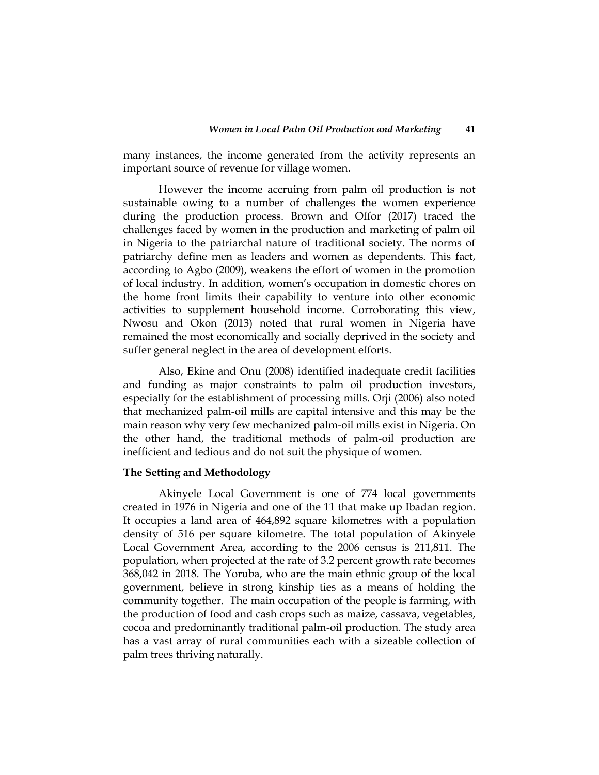many instances, the income generated from the activity represents an important source of revenue for village women.

However the income accruing from palm oil production is not sustainable owing to a number of challenges the women experience during the production process. Brown and Offor (2017) traced the challenges faced by women in the production and marketing of palm oil in Nigeria to the patriarchal nature of traditional society. The norms of patriarchy define men as leaders and women as dependents. This fact, according to Agbo (2009), weakens the effort of women in the promotion of local industry. In addition, women's occupation in domestic chores on the home front limits their capability to venture into other economic activities to supplement household income. Corroborating this view, Nwosu and Okon (2013) noted that rural women in Nigeria have remained the most economically and socially deprived in the society and suffer general neglect in the area of development efforts.

Also, Ekine and Onu (2008) identified inadequate credit facilities and funding as major constraints to palm oil production investors, especially for the establishment of processing mills. Orji (2006) also noted that mechanized palm-oil mills are capital intensive and this may be the main reason why very few mechanized palm-oil mills exist in Nigeria. On the other hand, the traditional methods of palm-oil production are inefficient and tedious and do not suit the physique of women.

## **The Setting and Methodology**

Akinyele Local Government is one of 774 local governments created in 1976 in Nigeria and one of the 11 that make up Ibadan region. It occupies a land area of 464,892 square kilometres with a population density of 516 per square kilometre. The total population of Akinyele Local Government Area, according to the 2006 census is 211,811. The population, when projected at the rate of 3.2 percent growth rate becomes 368,042 in 2018. The Yoruba, who are the main ethnic group of the local government, believe in strong kinship ties as a means of holding the community together. The main occupation of the people is farming, with the production of food and cash crops such as maize, cassava, vegetables, cocoa and predominantly traditional palm-oil production. The study area has a vast array of rural communities each with a sizeable collection of palm trees thriving naturally.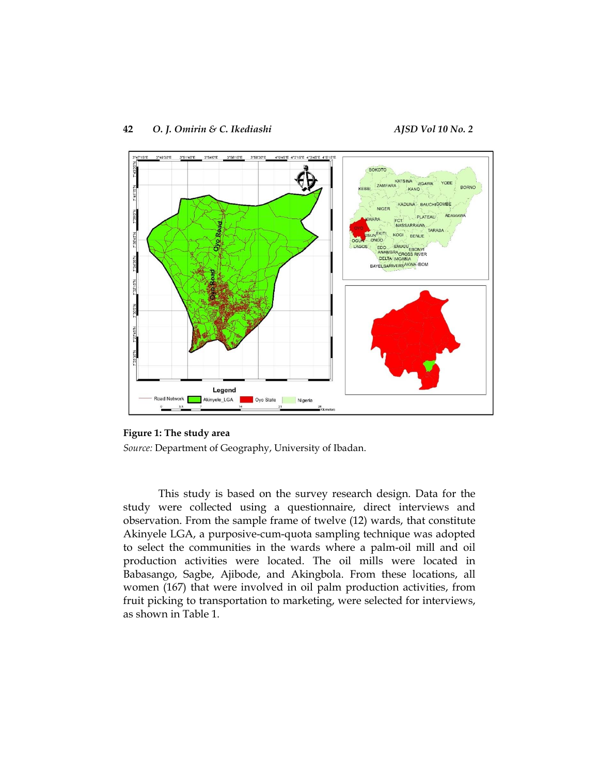

**Figure 1: The study area** *Source:* Department of Geography, University of Ibadan.

This study is based on the survey research design. Data for the study were collected using a questionnaire, direct interviews and observation. From the sample frame of twelve (12) wards, that constitute Akinyele LGA, a purposive-cum-quota sampling technique was adopted to select the communities in the wards where a palm-oil mill and oil production activities were located. The oil mills were located in Babasango, Sagbe, Ajibode, and Akingbola. From these locations, all women (167) that were involved in oil palm production activities, from fruit picking to transportation to marketing, were selected for interviews, as shown in Table 1.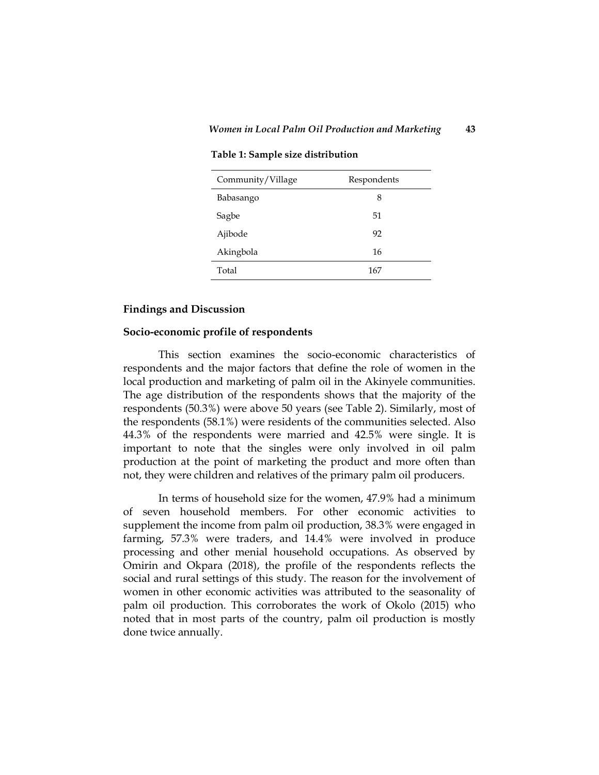#### **Table 1: Sample size distribution**

| Community/Village | Respondents |
|-------------------|-------------|
| Babasango         | 8           |
| Sagbe             | 51          |
| Ajibode           | 92          |
| Akingbola         | 16          |
| Total             | 167         |

#### **Findings and Discussion**

#### **Socio-economic profile of respondents**

This section examines the socio-economic characteristics of respondents and the major factors that define the role of women in the local production and marketing of palm oil in the Akinyele communities. The age distribution of the respondents shows that the majority of the respondents (50.3%) were above 50 years (see Table 2). Similarly, most of the respondents (58.1%) were residents of the communities selected. Also 44.3% of the respondents were married and 42.5% were single. It is important to note that the singles were only involved in oil palm production at the point of marketing the product and more often than not, they were children and relatives of the primary palm oil producers.

In terms of household size for the women, 47.9% had a minimum of seven household members. For other economic activities to supplement the income from palm oil production, 38.3% were engaged in farming, 57.3% were traders, and 14.4% were involved in produce processing and other menial household occupations. As observed by Omirin and Okpara (2018), the profile of the respondents reflects the social and rural settings of this study. The reason for the involvement of women in other economic activities was attributed to the seasonality of palm oil production. This corroborates the work of Okolo (2015) who noted that in most parts of the country, palm oil production is mostly done twice annually.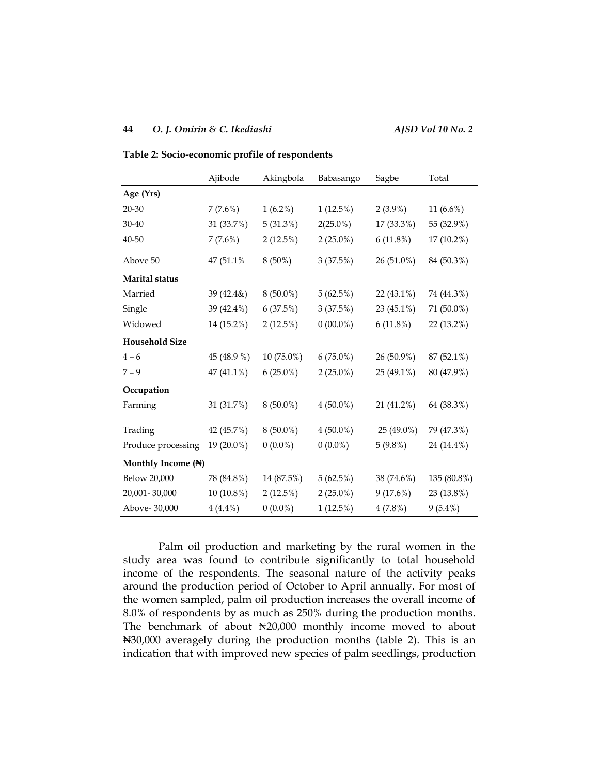### **44** *O. J. Omirin & C. Ikediashi AJSD Vol 10 No. 2*

|                       | Ajibode      | Akingbola   | Babasango   | Sagbe         | Total        |  |
|-----------------------|--------------|-------------|-------------|---------------|--------------|--|
| Age (Yrs)             |              |             |             |               |              |  |
| 20-30                 | 7(7.6%)      | $1(6.2\%)$  | $1(12.5\%)$ | $2(3.9\%)$    | 11 $(6.6\%)$ |  |
| 30-40                 | 31 (33.7%)   | 5(31.3%)    | $2(25.0\%)$ | 17 (33.3%)    | 55 (32.9%)   |  |
| 40-50                 | 7(7.6%)      | $2(12.5\%)$ | $2(25.0\%)$ | 6(11.8%)      | 17 (10.2%)   |  |
| Above 50              | 47 (51.1%)   | $8(50\%)$   | 3(37.5%)    | 26 (51.0%)    | 84 (50.3%)   |  |
| Marital status        |              |             |             |               |              |  |
| Married               | 39 (42.4&)   | $8(50.0\%)$ | 5(62.5%)    | $22(43.1\%)$  | 74 (44.3%)   |  |
| Single                | 39 (42.4%)   | 6(37.5%)    | 3(37.5%)    | 23 $(45.1\%)$ | 71 (50.0%)   |  |
| Widowed               | 14 (15.2%)   | $2(12.5\%)$ | $0(00.0\%)$ | 6(11.8%)      | 22 (13.2%)   |  |
| <b>Household Size</b> |              |             |             |               |              |  |
| $4 - 6$               | 45 (48.9 %)  | 10 (75.0%)  | $6(75.0\%)$ | 26 (50.9%)    | 87 (52.1%)   |  |
| $7 - 9$               | 47 (41.1%)   | $6(25.0\%)$ | $2(25.0\%)$ | 25 (49.1%)    | 80 (47.9%)   |  |
| Occupation            |              |             |             |               |              |  |
| Farming               | 31 (31.7%)   | $8(50.0\%)$ | $4(50.0\%)$ | 21 (41.2%)    | 64 (38.3%)   |  |
| Trading               | 42 (45.7%)   | $8(50.0\%)$ | $4(50.0\%)$ | 25 (49.0%)    | 79 (47.3%)   |  |
| Produce processing    | 19 (20.0%)   | $0(0.0\%)$  | $0(0.0\%)$  | $5(9.8\%)$    | 24 (14.4%)   |  |
| Monthly Income (N)    |              |             |             |               |              |  |
| Below 20,000          | 78 (84.8%)   | 14 (87.5%)  | 5(62.5%)    | 38 (74.6%)    | 135 (80.8%)  |  |
| 20,001-30,000         | $10(10.8\%)$ | $2(12.5\%)$ | $2(25.0\%)$ | 9(17.6%)      | 23 (13.8%)   |  |
| Above-30,000          | $4(4.4\%)$   | $0(0.0\%)$  | $1(12.5\%)$ | 4(7.8%)       | $9(5.4\%)$   |  |

**Table 2: Socio-economic profile of respondents**

Palm oil production and marketing by the rural women in the study area was found to contribute significantly to total household income of the respondents. The seasonal nature of the activity peaks around the production period of October to April annually. For most of the women sampled, palm oil production increases the overall income of 8.0% of respondents by as much as 250% during the production months. The benchmark of about N20,000 monthly income moved to about ₦30,000 averagely during the production months (table 2). This is an indication that with improved new species of palm seedlings, production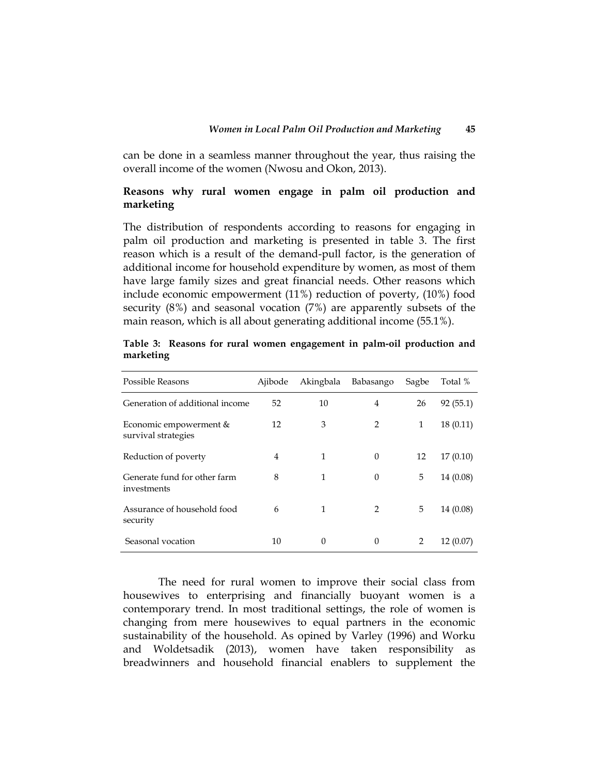can be done in a seamless manner throughout the year, thus raising the overall income of the women (Nwosu and Okon, 2013).

# **Reasons why rural women engage in palm oil production and marketing**

The distribution of respondents according to reasons for engaging in palm oil production and marketing is presented in table 3. The first reason which is a result of the demand-pull factor, is the generation of additional income for household expenditure by women, as most of them have large family sizes and great financial needs. Other reasons which include economic empowerment (11%) reduction of poverty, (10%) food security (8%) and seasonal vocation (7%) are apparently subsets of the main reason, which is all about generating additional income (55.1%).

| Possible Reasons                              | Ajibode | Akingbala    | Babasango      | Sagbe | Total %   |
|-----------------------------------------------|---------|--------------|----------------|-------|-----------|
| Generation of additional income               | 52      | 10           | 4              | 26    | 92(55.1)  |
| Economic empowerment &<br>survival strategies | 12      | 3            | 2              | 1     | 18(0.11)  |
| Reduction of poverty                          | 4       | 1            | $\theta$       | 12    | 17(0.10)  |
| Generate fund for other farm<br>investments   | 8       | $\mathbf{1}$ | $\theta$       | 5     | 14 (0.08) |
| Assurance of household food<br>security       | 6       | 1            | $\overline{2}$ | 5     | 14 (0.08) |
| Seasonal vocation                             | 10      | $\Omega$     | $\theta$       | 2     | 12(0.07)  |

**Table 3: Reasons for rural women engagement in palm-oil production and marketing**

The need for rural women to improve their social class from housewives to enterprising and financially buoyant women is a contemporary trend. In most traditional settings, the role of women is changing from mere housewives to equal partners in the economic sustainability of the household. As opined by Varley (1996) and Worku and Woldetsadik (2013), women have taken responsibility as breadwinners and household financial enablers to supplement the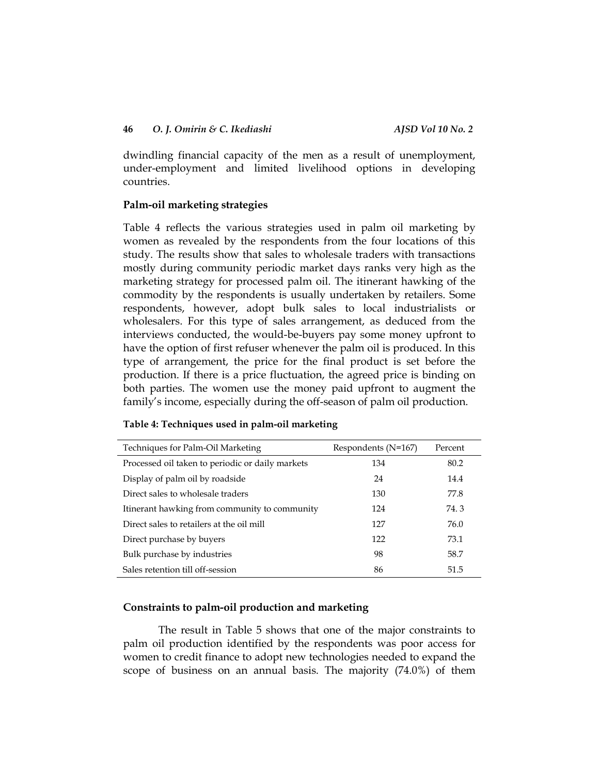dwindling financial capacity of the men as a result of unemployment, under-employment and limited livelihood options in developing countries.

# **Palm-oil marketing strategies**

Table 4 reflects the various strategies used in palm oil marketing by women as revealed by the respondents from the four locations of this study. The results show that sales to wholesale traders with transactions mostly during community periodic market days ranks very high as the marketing strategy for processed palm oil. The itinerant hawking of the commodity by the respondents is usually undertaken by retailers. Some respondents, however, adopt bulk sales to local industrialists or wholesalers. For this type of sales arrangement, as deduced from the interviews conducted, the would-be-buyers pay some money upfront to have the option of first refuser whenever the palm oil is produced. In this type of arrangement, the price for the final product is set before the production. If there is a price fluctuation, the agreed price is binding on both parties. The women use the money paid upfront to augment the family's income, especially during the off-season of palm oil production.

| Techniques for Palm-Oil Marketing                | Respondents $(N=167)$ | Percent |
|--------------------------------------------------|-----------------------|---------|
| Processed oil taken to periodic or daily markets | 134                   | 80.2    |
| Display of palm oil by roadside                  | 24                    | 14.4    |
| Direct sales to wholesale traders                | 130                   | 77.8    |
| Itinerant hawking from community to community    | 124                   | 74.3    |
| Direct sales to retailers at the oil mill        | 127                   | 76.0    |
| Direct purchase by buyers                        | 122                   | 73.1    |
| Bulk purchase by industries                      | 98                    | 58.7    |
| Sales retention till off-session                 | 86                    | 51.5    |

#### **Table 4: Techniques used in palm-oil marketing**

### **Constraints to palm-oil production and marketing**

The result in Table 5 shows that one of the major constraints to palm oil production identified by the respondents was poor access for women to credit finance to adopt new technologies needed to expand the scope of business on an annual basis. The majority (74.0%) of them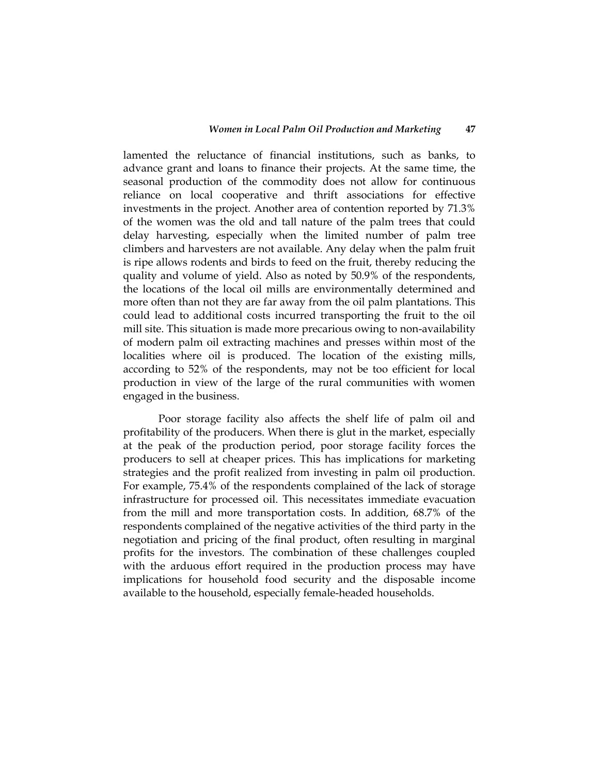lamented the reluctance of financial institutions, such as banks, to advance grant and loans to finance their projects. At the same time, the seasonal production of the commodity does not allow for continuous reliance on local cooperative and thrift associations for effective investments in the project. Another area of contention reported by 71.3% of the women was the old and tall nature of the palm trees that could delay harvesting, especially when the limited number of palm tree climbers and harvesters are not available. Any delay when the palm fruit is ripe allows rodents and birds to feed on the fruit, thereby reducing the quality and volume of yield. Also as noted by 50.9% of the respondents, the locations of the local oil mills are environmentally determined and more often than not they are far away from the oil palm plantations. This could lead to additional costs incurred transporting the fruit to the oil mill site. This situation is made more precarious owing to non-availability of modern palm oil extracting machines and presses within most of the localities where oil is produced. The location of the existing mills, according to 52% of the respondents, may not be too efficient for local production in view of the large of the rural communities with women engaged in the business.

Poor storage facility also affects the shelf life of palm oil and profitability of the producers. When there is glut in the market, especially at the peak of the production period, poor storage facility forces the producers to sell at cheaper prices. This has implications for marketing strategies and the profit realized from investing in palm oil production. For example, 75.4% of the respondents complained of the lack of storage infrastructure for processed oil. This necessitates immediate evacuation from the mill and more transportation costs. In addition, 68.7% of the respondents complained of the negative activities of the third party in the negotiation and pricing of the final product, often resulting in marginal profits for the investors. The combination of these challenges coupled with the arduous effort required in the production process may have implications for household food security and the disposable income available to the household, especially female-headed households.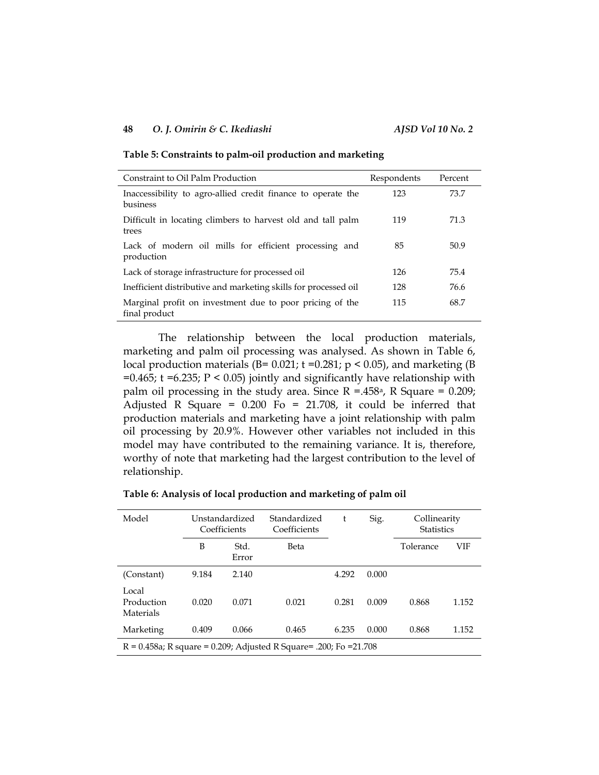#### **48** *O. J. Omirin & C. Ikediashi AJSD Vol 10 No. 2*

**Table 5: Constraints to palm-oil production and marketing**

| Constraint to Oil Palm Production                                         | Respondents | Percent |
|---------------------------------------------------------------------------|-------------|---------|
| Inaccessibility to agro-allied credit finance to operate the<br>business  | 123         | 73.7    |
| Difficult in locating climbers to harvest old and tall palm<br>trees      | 119         | 71.3    |
| Lack of modern oil mills for efficient processing and<br>production       | 85          | 50.9    |
| Lack of storage infrastructure for processed oil                          | 126         | 75.4    |
| Inefficient distributive and marketing skills for processed oil           | 128         | 76.6    |
| Marginal profit on investment due to poor pricing of the<br>final product | 115         | 68.7    |

The relationship between the local production materials, marketing and palm oil processing was analysed. As shown in Table 6, local production materials (B=  $0.021$ ; t =0.281; p < 0.05), and marketing (B =0.465;  $t = 6.235$ ;  $P < 0.05$ ) jointly and significantly have relationship with palm oil processing in the study area. Since  $R = .458^{\circ}$ , R Square = 0.209; Adjusted R Square =  $0.200$  Fo = 21.708, it could be inferred that production materials and marketing have a joint relationship with palm oil processing by 20.9%. However other variables not included in this model may have contributed to the remaining variance. It is, therefore, worthy of note that marketing had the largest contribution to the level of relationship.

|  | Table 6: Analysis of local production and marketing of palm oil |  |
|--|-----------------------------------------------------------------|--|
|  |                                                                 |  |

| Model                                                                  | Unstandardized<br>Coefficients |               | Standardized<br>Coefficients | t     | Sig.  | Collinearity<br><b>Statistics</b> |       |
|------------------------------------------------------------------------|--------------------------------|---------------|------------------------------|-------|-------|-----------------------------------|-------|
|                                                                        | B                              | Std.<br>Error | <b>Beta</b>                  |       |       | Tolerance                         | VIF   |
| (Constant)                                                             | 9.184                          | 2.140         |                              | 4.292 | 0.000 |                                   |       |
| Local<br>Production<br>Materials                                       | 0.020                          | 0.071         | 0.021                        | 0.281 | 0.009 | 0.868                             | 1.152 |
| Marketing                                                              | 0.409                          | 0.066         | 0.465                        | 6.235 | 0.000 | 0.868                             | 1.152 |
| $R = 0.458a$ ; R square = 0.209; Adjusted R Square = .200; Fo = 21.708 |                                |               |                              |       |       |                                   |       |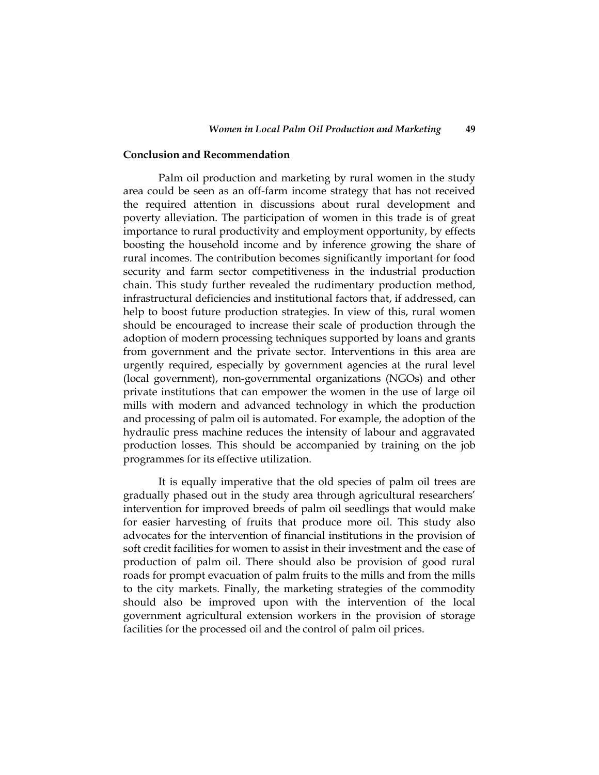#### **Conclusion and Recommendation**

Palm oil production and marketing by rural women in the study area could be seen as an off-farm income strategy that has not received the required attention in discussions about rural development and poverty alleviation. The participation of women in this trade is of great importance to rural productivity and employment opportunity, by effects boosting the household income and by inference growing the share of rural incomes. The contribution becomes significantly important for food security and farm sector competitiveness in the industrial production chain. This study further revealed the rudimentary production method, infrastructural deficiencies and institutional factors that, if addressed, can help to boost future production strategies. In view of this, rural women should be encouraged to increase their scale of production through the adoption of modern processing techniques supported by loans and grants from government and the private sector. Interventions in this area are urgently required, especially by government agencies at the rural level (local government), non-governmental organizations (NGOs) and other private institutions that can empower the women in the use of large oil mills with modern and advanced technology in which the production and processing of palm oil is automated. For example, the adoption of the hydraulic press machine reduces the intensity of labour and aggravated production losses. This should be accompanied by training on the job programmes for its effective utilization.

It is equally imperative that the old species of palm oil trees are gradually phased out in the study area through agricultural researchers' intervention for improved breeds of palm oil seedlings that would make for easier harvesting of fruits that produce more oil. This study also advocates for the intervention of financial institutions in the provision of soft credit facilities for women to assist in their investment and the ease of production of palm oil. There should also be provision of good rural roads for prompt evacuation of palm fruits to the mills and from the mills to the city markets. Finally, the marketing strategies of the commodity should also be improved upon with the intervention of the local government agricultural extension workers in the provision of storage facilities for the processed oil and the control of palm oil prices.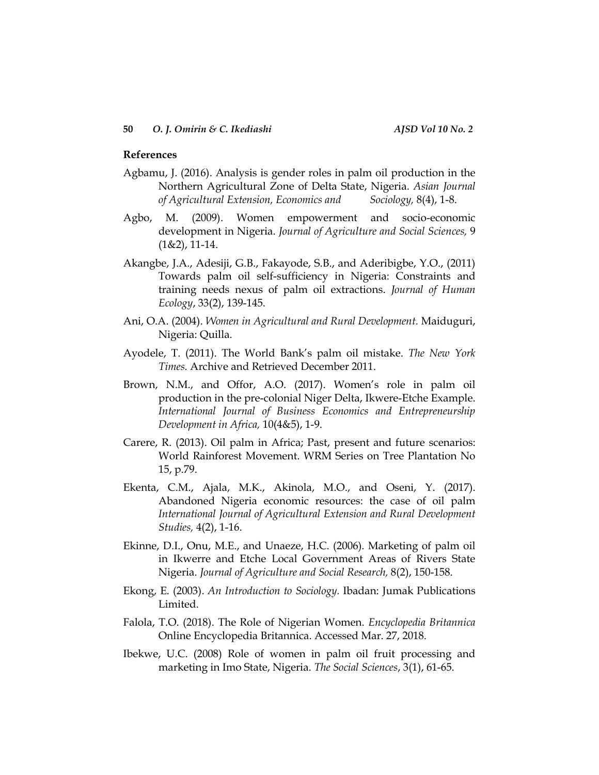### **References**

- Agbamu, J. (2016). Analysis is gender roles in palm oil production in the Northern Agricultural Zone of Delta State, Nigeria. *Asian Journal of Agricultural Extension, Economics and Sociology,* 8(4), 1-8.
- Agbo, M. (2009). Women empowerment and socio-economic development in Nigeria. *Journal of Agriculture and Social Sciences,* 9 (1&2), 11-14.
- Akangbe, J.A., Adesiji, G.B., Fakayode, S.B., and Aderibigbe, Y.O., (2011) Towards palm oil self-sufficiency in Nigeria: Constraints and training needs nexus of palm oil extractions. *Journal of Human Ecology*, 33(2), 139-145.
- Ani, O.A. (2004). *Women in Agricultural and Rural Development.* Maiduguri, Nigeria: Quilla.
- Ayodele, T. (2011). The World Bank's palm oil mistake. *The New York Times.* Archive and Retrieved December 2011.
- Brown, N.M., and Offor, A.O. (2017). Women's role in palm oil production in the pre-colonial Niger Delta, Ikwere-Etche Example. *International Journal of Business Economics and Entrepreneurship Development in Africa,* 10(4&5), 1-9.
- Carere, R. (2013). Oil palm in Africa; Past, present and future scenarios: World Rainforest Movement. WRM Series on Tree Plantation No 15, p.79.
- Ekenta, C.M., Ajala, M.K., Akinola, M.O., and Oseni, Y. (2017). Abandoned Nigeria economic resources: the case of oil palm *International Journal of Agricultural Extension and Rural Development Studies,* 4(2), 1-16.
- Ekinne, D.I., Onu, M.E., and Unaeze, H.C. (2006). Marketing of palm oil in Ikwerre and Etche Local Government Areas of Rivers State Nigeria. *Journal of Agriculture and Social Research,* 8(2), 150-158.
- Ekong, E. (2003). *An Introduction to Sociology.* Ibadan: Jumak Publications Limited.
- Falola, T.O. (2018). The Role of Nigerian Women. *Encyclopedia Britannica* Online Encyclopedia Britannica. Accessed Mar. 27, 2018.
- Ibekwe, U.C. (2008) Role of women in palm oil fruit processing and marketing in Imo State, Nigeria. *The Social Sciences*, 3(1), 61-65.